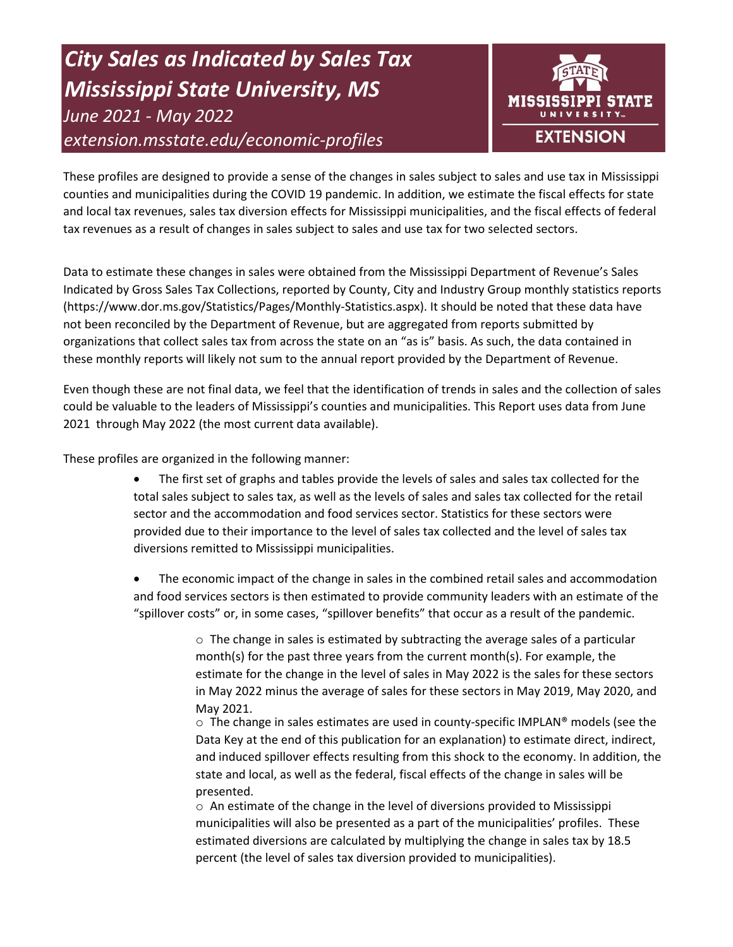# *City Sales as Indicated by Sales Tax Mississippi State University, MS June 2021 - May 2022 extension.msstate.edu/economic-profiles*



These profiles are designed to provide a sense of the changes in sales subject to sales and use tax in Mississippi counties and municipalities during the COVID 19 pandemic. In addition, we estimate the fiscal effects for state and local tax revenues, sales tax diversion effects for Mississippi municipalities, and the fiscal effects of federal tax revenues as a result of changes in sales subject to sales and use tax for two selected sectors.

Data to estimate these changes in sales were obtained from the Mississippi Department of Revenue's Sales Indicated by Gross Sales Tax Collections, reported by County, City and Industry Group monthly statistics reports (https://www.dor.ms.gov/Statistics/Pages/Monthly-Statistics.aspx). It should be noted that these data have not been reconciled by the Department of Revenue, but are aggregated from reports submitted by organizations that collect sales tax from across the state on an "as is" basis. As such, the data contained in these monthly reports will likely not sum to the annual report provided by the Department of Revenue.

Even though these are not final data, we feel that the identification of trends in sales and the collection of sales could be valuable to the leaders of Mississippi's counties and municipalities. This Report uses data from June 2021 through May 2022 (the most current data available).

These profiles are organized in the following manner:

- The first set of graphs and tables provide the levels of sales and sales tax collected for the total sales subject to sales tax, as well as the levels of sales and sales tax collected for the retail sector and the accommodation and food services sector. Statistics for these sectors were provided due to their importance to the level of sales tax collected and the level of sales tax diversions remitted to Mississippi municipalities.
- The economic impact of the change in sales in the combined retail sales and accommodation and food services sectors is then estimated to provide community leaders with an estimate of the "spillover costs" or, in some cases, "spillover benefits" that occur as a result of the pandemic.

 $\circ$  The change in sales is estimated by subtracting the average sales of a particular month(s) for the past three years from the current month(s). For example, the estimate for the change in the level of sales in May 2022 is the sales for these sectors in May 2022 minus the average of sales for these sectors in May 2019, May 2020, and May 2021.

 $\circ$  The change in sales estimates are used in county-specific IMPLAN® models (see the Data Key at the end of this publication for an explanation) to estimate direct, indirect, and induced spillover effects resulting from this shock to the economy. In addition, the state and local, as well as the federal, fiscal effects of the change in sales will be presented.

 $\circ$  An estimate of the change in the level of diversions provided to Mississippi municipalities will also be presented as a part of the municipalities' profiles. These estimated diversions are calculated by multiplying the change in sales tax by 18.5 percent (the level of sales tax diversion provided to municipalities).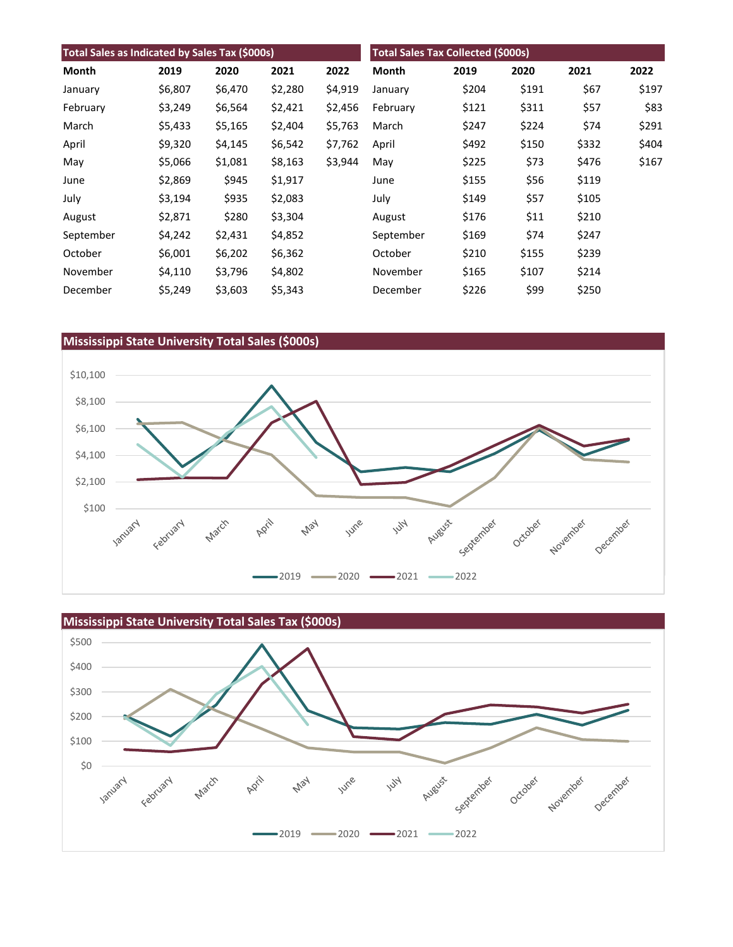| Total Sales as Indicated by Sales Tax (\$000s) |         |         |         | <b>Total Sales Tax Collected (\$000s)</b> |           |       |       |       |       |
|------------------------------------------------|---------|---------|---------|-------------------------------------------|-----------|-------|-------|-------|-------|
| Month                                          | 2019    | 2020    | 2021    | 2022                                      | Month     | 2019  | 2020  | 2021  | 2022  |
| January                                        | \$6,807 | \$6,470 | \$2,280 | \$4,919                                   | January   | \$204 | \$191 | \$67  | \$197 |
| February                                       | \$3,249 | \$6,564 | \$2,421 | \$2,456                                   | February  | \$121 | \$311 | \$57  | \$83  |
| March                                          | \$5,433 | \$5,165 | \$2,404 | \$5,763                                   | March     | \$247 | \$224 | \$74  | \$291 |
| April                                          | \$9,320 | \$4,145 | \$6,542 | \$7,762                                   | April     | \$492 | \$150 | \$332 | \$404 |
| May                                            | \$5,066 | \$1,081 | \$8,163 | \$3,944                                   | May       | \$225 | \$73  | \$476 | \$167 |
| June                                           | \$2,869 | \$945   | \$1,917 |                                           | June      | \$155 | \$56  | \$119 |       |
| July                                           | \$3,194 | \$935   | \$2,083 |                                           | July      | \$149 | \$57  | \$105 |       |
| August                                         | \$2,871 | \$280   | \$3,304 |                                           | August    | \$176 | \$11  | \$210 |       |
| September                                      | \$4,242 | \$2,431 | \$4,852 |                                           | September | \$169 | \$74  | \$247 |       |
| October                                        | \$6,001 | \$6,202 | \$6,362 |                                           | October   | \$210 | \$155 | \$239 |       |
| November                                       | \$4,110 | \$3,796 | \$4,802 |                                           | November  | \$165 | \$107 | \$214 |       |
| December                                       | \$5,249 | \$3,603 | \$5,343 |                                           | December  | \$226 | \$99  | \$250 |       |

## **Mississippi State University Total Sales (\$000s)**



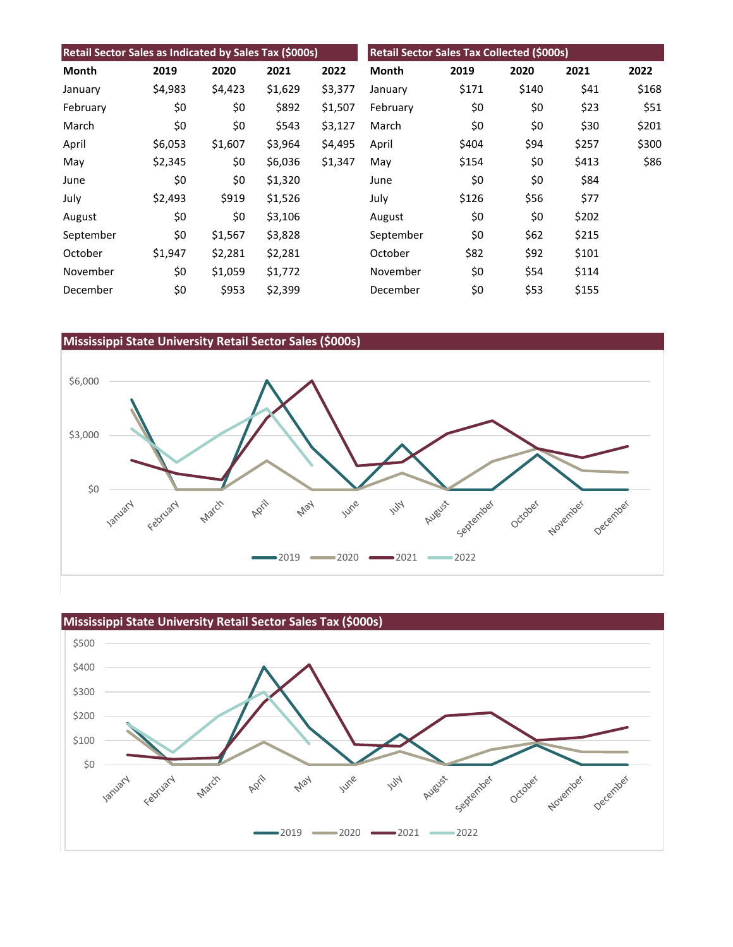| Retail Sector Sales as Indicated by Sales Tax (\$000s) |         |         |         |         | Retail Sector Sales Tax Collected (\$000s) |       |       |       |       |
|--------------------------------------------------------|---------|---------|---------|---------|--------------------------------------------|-------|-------|-------|-------|
| Month                                                  | 2019    | 2020    | 2021    | 2022    | Month                                      | 2019  | 2020  | 2021  | 2022  |
| January                                                | \$4,983 | \$4,423 | \$1,629 | \$3,377 | January                                    | \$171 | \$140 | \$41  | \$168 |
| February                                               | \$0     | \$0     | \$892   | \$1,507 | February                                   | \$0   | \$0   | \$23  | \$51  |
| March                                                  | \$0     | \$0     | \$543   | \$3,127 | March                                      | \$0   | \$0   | \$30  | \$201 |
| April                                                  | \$6,053 | \$1,607 | \$3,964 | \$4,495 | April                                      | \$404 | \$94  | \$257 | \$300 |
| May                                                    | \$2,345 | \$0     | \$6,036 | \$1,347 | May                                        | \$154 | \$0   | \$413 | \$86  |
| June                                                   | \$0     | \$0     | \$1,320 |         | June                                       | \$0   | \$0   | \$84  |       |
| July                                                   | \$2,493 | \$919   | \$1,526 |         | July                                       | \$126 | \$56  | \$77  |       |
| August                                                 | \$0     | \$0     | \$3,106 |         | August                                     | \$0   | \$0   | \$202 |       |
| September                                              | \$0     | \$1,567 | \$3,828 |         | September                                  | \$0   | \$62  | \$215 |       |
| October                                                | \$1,947 | \$2,281 | \$2,281 |         | October                                    | \$82  | \$92  | \$101 |       |
| November                                               | \$0     | \$1,059 | \$1,772 |         | November                                   | \$0   | \$54  | \$114 |       |
| December                                               | \$0     | \$953   | \$2,399 |         | December                                   | \$0   | \$53  | \$155 |       |

## **Mississippi State University Retail Sector Sales (\$000s)**



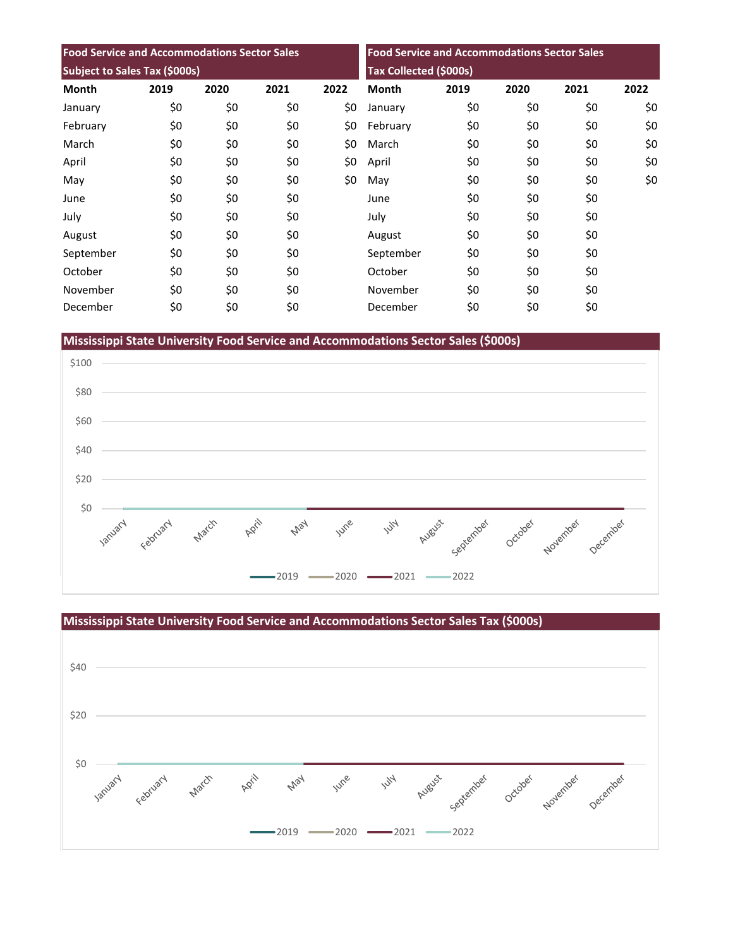| <b>Food Service and Accommodations Sector Sales</b> |      |      |      | <b>Food Service and Accommodations Sector Sales</b><br>Tax Collected (\$000s) |              |      |      |      |      |
|-----------------------------------------------------|------|------|------|-------------------------------------------------------------------------------|--------------|------|------|------|------|
| Subject to Sales Tax (\$000s)                       |      |      |      |                                                                               |              |      |      |      |      |
| <b>Month</b>                                        | 2019 | 2020 | 2021 | 2022                                                                          | <b>Month</b> | 2019 | 2020 | 2021 | 2022 |
| January                                             | \$0  | \$0  | \$0  | \$0                                                                           | January      | \$0  | \$0  | \$0  | \$0  |
| February                                            | \$0  | \$0  | \$0  | \$0                                                                           | February     | \$0  | \$0  | \$0  | \$0  |
| March                                               | \$0  | \$0  | \$0  | \$0                                                                           | March        | \$0  | \$0  | \$0  | \$0  |
| April                                               | \$0  | \$0  | \$0  | \$0                                                                           | April        | \$0  | \$0  | \$0  | \$0  |
| May                                                 | \$0  | \$0  | \$0  | \$0                                                                           | May          | \$0  | \$0  | \$0  | \$0  |
| June                                                | \$0  | \$0  | \$0  |                                                                               | June         | \$0  | \$0  | \$0  |      |
| July                                                | \$0  | \$0  | \$0  |                                                                               | July         | \$0  | \$0  | \$0  |      |
| August                                              | \$0  | \$0  | \$0  |                                                                               | August       | \$0  | \$0  | \$0  |      |
| September                                           | \$0  | \$0  | \$0  |                                                                               | September    | \$0  | \$0  | \$0  |      |
| October                                             | \$0  | \$0  | \$0  |                                                                               | October      | \$0  | \$0  | \$0  |      |
| November                                            | \$0  | \$0  | \$0  |                                                                               | November     | \$0  | \$0  | \$0  |      |
| December                                            | \$0  | \$0  | \$0  |                                                                               | December     | \$0  | \$0  | \$0  |      |

**Mississippi State University Food Service and Accommodations Sector Sales (\$000s)**



**Mississippi State University Food Service and Accommodations Sector Sales Tax (\$000s)** \$40 \$20 \$0 April January Feoruary March June **Will** August September May October November December  $-2019$   $-2020$   $-2021$   $-2022$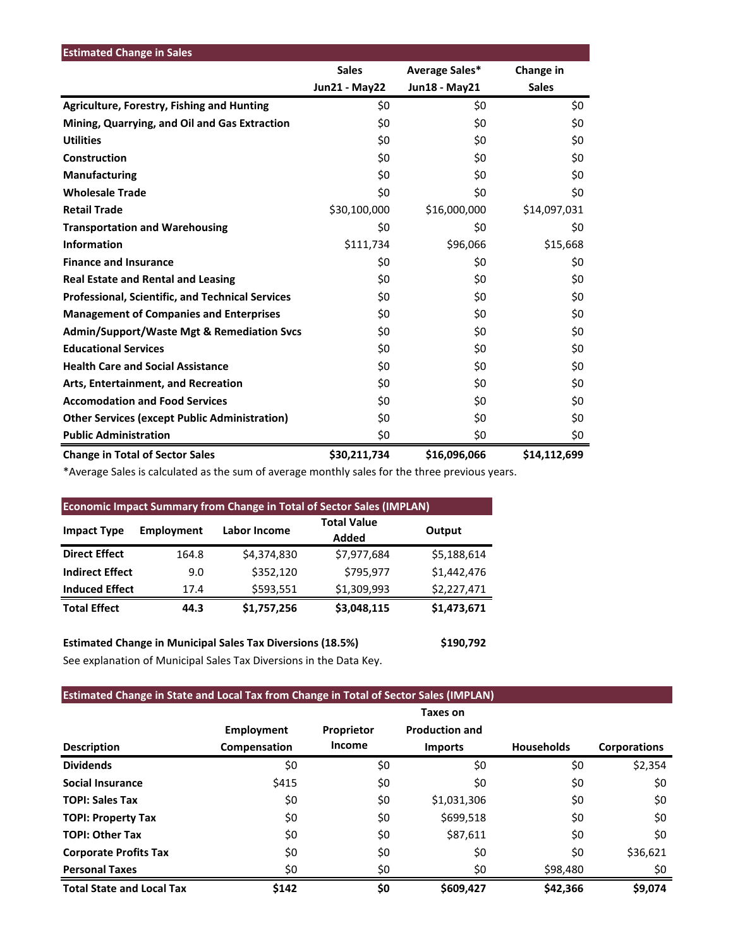| <b>Estimated Change in Sales</b>                        |                      |                |              |
|---------------------------------------------------------|----------------------|----------------|--------------|
|                                                         | <b>Sales</b>         | Average Sales* | Change in    |
|                                                         | <b>Jun21 - May22</b> | Jun18 - May21  | <b>Sales</b> |
| <b>Agriculture, Forestry, Fishing and Hunting</b>       | \$0                  | \$0            | \$0          |
| Mining, Quarrying, and Oil and Gas Extraction           | \$0                  | \$0            | \$0          |
| <b>Utilities</b>                                        | \$0                  | \$0            | \$0          |
| Construction                                            | \$0                  | \$0            | \$0          |
| <b>Manufacturing</b>                                    | \$0                  | \$0            | \$0          |
| <b>Wholesale Trade</b>                                  | \$0                  | \$0            | \$0          |
| <b>Retail Trade</b>                                     | \$30,100,000         | \$16,000,000   | \$14,097,031 |
| <b>Transportation and Warehousing</b>                   | \$0                  | \$0            | \$0          |
| <b>Information</b>                                      | \$111,734            | \$96,066       | \$15,668     |
| <b>Finance and Insurance</b>                            | \$0                  | \$0            | \$0          |
| <b>Real Estate and Rental and Leasing</b>               | \$0                  | \$0            | \$0          |
| <b>Professional, Scientific, and Technical Services</b> | \$0                  | \$0            | \$0          |
| <b>Management of Companies and Enterprises</b>          | \$0                  | \$0            | \$0          |
| <b>Admin/Support/Waste Mgt &amp; Remediation Svcs</b>   | \$0                  | \$0            | \$0          |
| <b>Educational Services</b>                             | \$0                  | \$0            | \$0          |
| <b>Health Care and Social Assistance</b>                | \$0                  | \$0            | \$0          |
| Arts, Entertainment, and Recreation                     | \$0                  | \$0            | \$0          |
| <b>Accomodation and Food Services</b>                   | \$0                  | \$0            | \$0          |
| <b>Other Services (except Public Administration)</b>    | \$0                  | \$0            | \$0          |
| <b>Public Administration</b>                            | \$0                  | \$0            | \$0          |
| <b>Change in Total of Sector Sales</b>                  | \$30,211,734         | \$16,096,066   | \$14,112,699 |

\*Average Sales is calculated as the sum of average monthly sales for the three previous years.

| <b>Economic Impact Summary from Change in Total of Sector Sales (IMPLAN)</b> |            |              |                             |             |  |  |  |  |
|------------------------------------------------------------------------------|------------|--------------|-----------------------------|-------------|--|--|--|--|
| <b>Impact Type</b>                                                           | Employment | Labor Income | <b>Total Value</b><br>Added | Output      |  |  |  |  |
| <b>Direct Effect</b>                                                         | 164.8      | \$4,374,830  | \$7,977,684                 | \$5,188,614 |  |  |  |  |
| <b>Indirect Effect</b>                                                       | 9.0        | \$352,120    | \$795,977                   | \$1.442.476 |  |  |  |  |
| <b>Induced Effect</b>                                                        | 17.4       | \$593,551    | \$1,309,993                 | \$2,227,471 |  |  |  |  |
| <b>Total Effect</b>                                                          | 44.3       | \$1,757,256  | \$3,048,115                 | \$1,473,671 |  |  |  |  |
|                                                                              |            |              |                             |             |  |  |  |  |

**Estimated Change in Municipal Sales Tax Diversions (18.5%) \$190,792** See explanation of Municipal Sales Tax Diversions in the Data Key.

# **Estimated Change in State and Local Tax from Change in Total of Sector Sales (IMPLAN)**

|                                  |                                   |                             | Taxes on                                |                   |                     |
|----------------------------------|-----------------------------------|-----------------------------|-----------------------------------------|-------------------|---------------------|
| <b>Description</b>               | <b>Employment</b><br>Compensation | Proprietor<br><b>Income</b> | <b>Production and</b><br><b>Imports</b> | <b>Households</b> | <b>Corporations</b> |
| <b>Dividends</b>                 | \$0                               | \$0                         | \$0                                     | \$0               | \$2,354             |
| <b>Social Insurance</b>          | \$415                             | \$0                         | \$0                                     | \$0               | \$0                 |
| <b>TOPI: Sales Tax</b>           | \$0                               | \$0                         | \$1,031,306                             | \$0               | \$0                 |
| <b>TOPI: Property Tax</b>        | \$0                               | \$0                         | \$699,518                               | \$0               | \$0                 |
| <b>TOPI: Other Tax</b>           | \$0                               | \$0                         | \$87,611                                | \$0               | \$0                 |
| <b>Corporate Profits Tax</b>     | \$0                               | \$0                         | \$0                                     | \$0               | \$36,621            |
| <b>Personal Taxes</b>            | \$0                               | \$0                         | \$0                                     | \$98,480          | \$0                 |
| <b>Total State and Local Tax</b> | \$142                             | \$0                         | \$609,427                               | \$42,366          | \$9,074             |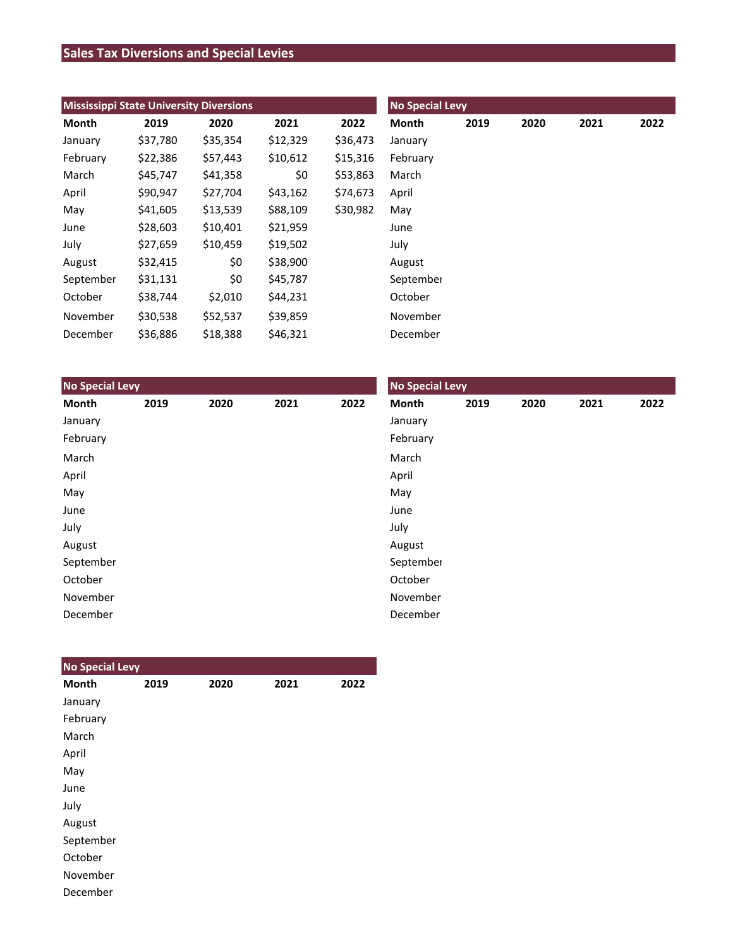# **Sales Tax Diversions and Special Levies**

| <b>Mississippi State University Diversions</b> |          |          |          |          | <b>No Special Levy</b> |      |      |      |      |  |
|------------------------------------------------|----------|----------|----------|----------|------------------------|------|------|------|------|--|
| Month                                          | 2019     | 2020     | 2021     | 2022     | Month                  | 2019 | 2020 | 2021 | 2022 |  |
| January                                        | \$37,780 | \$35,354 | \$12,329 | \$36,473 | January                |      |      |      |      |  |
| February                                       | \$22,386 | \$57,443 | \$10,612 | \$15,316 | February               |      |      |      |      |  |
| March                                          | \$45,747 | \$41,358 | \$0      | \$53,863 | March                  |      |      |      |      |  |
| April                                          | \$90,947 | \$27,704 | \$43,162 | \$74,673 | April                  |      |      |      |      |  |
| May                                            | \$41,605 | \$13,539 | \$88,109 | \$30,982 | May                    |      |      |      |      |  |
| June                                           | \$28,603 | \$10,401 | \$21,959 |          | June                   |      |      |      |      |  |
| July                                           | \$27,659 | \$10,459 | \$19,502 |          | July                   |      |      |      |      |  |
| August                                         | \$32,415 | \$0      | \$38,900 |          | August                 |      |      |      |      |  |
| September                                      | \$31,131 | \$0      | \$45,787 |          | September              |      |      |      |      |  |
| October                                        | \$38,744 | \$2,010  | \$44,231 |          | October                |      |      |      |      |  |
| November                                       | \$30,538 | \$52,537 | \$39,859 |          | November               |      |      |      |      |  |
| December                                       | \$36,886 | \$18,388 | \$46,321 |          | December               |      |      |      |      |  |

| <b>No Special Levy</b> |      |      |      |      | <b>No Special Levy</b> |      |      |      |      |  |
|------------------------|------|------|------|------|------------------------|------|------|------|------|--|
| Month                  | 2019 | 2020 | 2021 | 2022 | Month                  | 2019 | 2020 | 2021 | 2022 |  |
| January                |      |      |      |      | January                |      |      |      |      |  |
| February               |      |      |      |      | February               |      |      |      |      |  |
| March                  |      |      |      |      | March                  |      |      |      |      |  |
| April                  |      |      |      |      | April                  |      |      |      |      |  |
| May                    |      |      |      |      | May                    |      |      |      |      |  |
| June                   |      |      |      |      | June                   |      |      |      |      |  |
| July                   |      |      |      |      | July                   |      |      |      |      |  |
| August                 |      |      |      |      | August                 |      |      |      |      |  |
| September              |      |      |      |      | September              |      |      |      |      |  |
| October                |      |      |      |      | October                |      |      |      |      |  |
| November               |      |      |      |      | November               |      |      |      |      |  |
| December               |      |      |      |      | December               |      |      |      |      |  |

| <b>No Special Levy</b> |      |      |      |      |
|------------------------|------|------|------|------|
| <b>Month</b>           | 2019 | 2020 | 2021 | 2022 |
| January                |      |      |      |      |
| February               |      |      |      |      |
| March                  |      |      |      |      |
| April                  |      |      |      |      |
| May                    |      |      |      |      |
| June                   |      |      |      |      |
| July                   |      |      |      |      |
| August                 |      |      |      |      |
| September              |      |      |      |      |
| October                |      |      |      |      |
| November               |      |      |      |      |
| December               |      |      |      |      |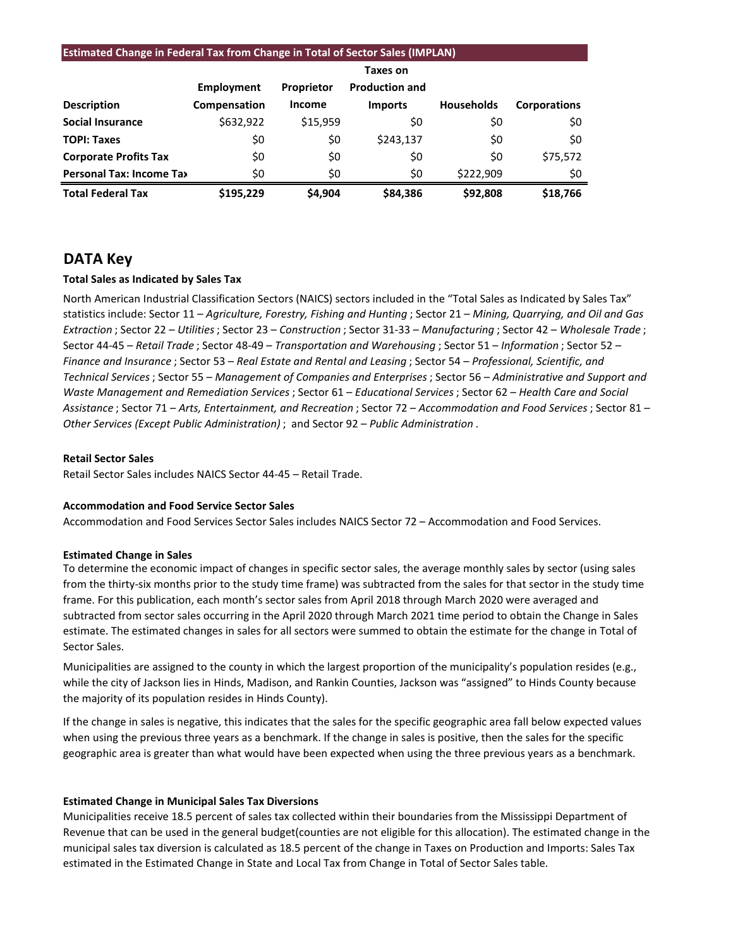#### **Estimated Change in Federal Tax from Change in Total of Sector Sales (IMPLAN)**

|                                 |              |                   | Taxes on              |                   |                     |
|---------------------------------|--------------|-------------------|-----------------------|-------------------|---------------------|
|                                 | Employment   | <b>Proprietor</b> | <b>Production and</b> |                   |                     |
| <b>Description</b>              | Compensation | <b>Income</b>     | <b>Imports</b>        | <b>Households</b> | <b>Corporations</b> |
| <b>Social Insurance</b>         | \$632,922    | \$15,959          | \$0                   | \$0               | \$0                 |
| <b>TOPI: Taxes</b>              | \$0          | \$0               | \$243,137             | \$0               | \$0                 |
| <b>Corporate Profits Tax</b>    | \$0          | \$0               | \$0                   | \$0               | \$75,572            |
| <b>Personal Tax: Income Tax</b> | \$0          | \$0               | \$0                   | \$222,909         | \$0                 |
| <b>Total Federal Tax</b>        | \$195.229    | \$4.904           | \$84,386              | \$92,808          | \$18,766            |

# **DATA Key**

#### **Total Sales as Indicated by Sales Tax**

North American Industrial Classification Sectors (NAICS) sectors included in the "Total Sales as Indicated by Sales Tax" statistics include: Sector 11 – *Agriculture, Forestry, Fishing and Hunting* ; Sector 21 – *Mining, Quarrying, and Oil and Gas Extraction* ; Sector 22 – *Utilities*; Sector 23 – *Construction* ; Sector 31-33 – *Manufacturing* ; Sector 42 – *Wholesale Trade* ; Sector 44-45 – *Retail Trade* ; Sector 48-49 – *Transportation and Warehousing* ; Sector 51 – *Information* ; Sector 52 – *Finance and Insurance* ; Sector 53 – *Real Estate and Rental and Leasing* ; Sector 54 – *Professional, Scientific, and Technical Services*; Sector 55 – *Management of Companies and Enterprises* ; Sector 56 – *Administrative and Support and Waste Management and Remediation Services* ; Sector 61 – *Educational Services*; Sector 62 – *Health Care and Social Assistance* ; Sector 71 – *Arts, Entertainment, and Recreation* ; Sector 72 – *Accommodation and Food Services* ; Sector 81 – *Other Services (Except Public Administration)* ; and Sector 92 – *Public Administration* .

#### **Retail Sector Sales**

Retail Sector Sales includes NAICS Sector 44-45 – Retail Trade.

#### **Accommodation and Food Service Sector Sales**

Accommodation and Food Services Sector Sales includes NAICS Sector 72 – Accommodation and Food Services.

#### **Estimated Change in Sales**

To determine the economic impact of changes in specific sector sales, the average monthly sales by sector (using sales from the thirty-six months prior to the study time frame) was subtracted from the sales for that sector in the study time frame. For this publication, each month's sector sales from April 2018 through March 2020 were averaged and subtracted from sector sales occurring in the April 2020 through March 2021 time period to obtain the Change in Sales estimate. The estimated changes in sales for all sectors were summed to obtain the estimate for the change in Total of Sector Sales.

Municipalities are assigned to the county in which the largest proportion of the municipality's population resides (e.g., while the city of Jackson lies in Hinds, Madison, and Rankin Counties, Jackson was "assigned" to Hinds County because the majority of its population resides in Hinds County).

If the change in sales is negative, this indicates that the sales for the specific geographic area fall below expected values when using the previous three years as a benchmark. If the change in sales is positive, then the sales for the specific geographic area is greater than what would have been expected when using the three previous years as a benchmark.

#### **Estimated Change in Municipal Sales Tax Diversions**

Municipalities receive 18.5 percent of sales tax collected within their boundaries from the Mississippi Department of Revenue that can be used in the general budget(counties are not eligible for this allocation). The estimated change in the municipal sales tax diversion is calculated as 18.5 percent of the change in Taxes on Production and Imports: Sales Tax estimated in the Estimated Change in State and Local Tax from Change in Total of Sector Sales table.